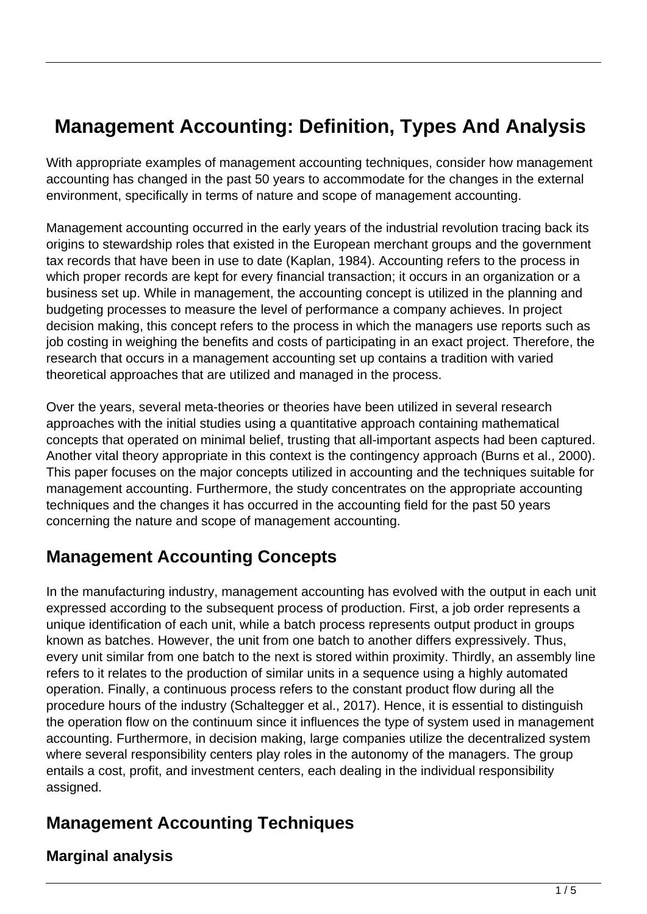# **Management Accounting: Definition, Types And Analysis**

With appropriate examples of management accounting techniques, consider how management accounting has changed in the past 50 years to accommodate for the changes in the external environment, specifically in terms of nature and scope of management accounting.

Management accounting occurred in the early years of the industrial revolution tracing back its origins to stewardship roles that existed in the European merchant groups and the government tax records that have been in use to date (Kaplan, 1984). Accounting refers to the process in which proper records are kept for every financial transaction; it occurs in an organization or a business set up. While in management, the accounting concept is utilized in the planning and budgeting processes to measure the level of performance a company achieves. In project decision making, this concept refers to the process in which the managers use reports such as job costing in weighing the benefits and costs of participating in an exact project. Therefore, the research that occurs in a management accounting set up contains a tradition with varied theoretical approaches that are utilized and managed in the process.

Over the years, several meta-theories or theories have been utilized in several research approaches with the initial studies using a quantitative approach containing mathematical concepts that operated on minimal belief, trusting that all-important aspects had been captured. Another vital theory appropriate in this context is the contingency approach (Burns et al., 2000). This paper focuses on the major concepts utilized in accounting and the techniques suitable for management accounting. Furthermore, the study concentrates on the appropriate accounting techniques and the changes it has occurred in the accounting field for the past 50 years concerning the nature and scope of management accounting.

## **Management Accounting Concepts**

In the manufacturing industry, management accounting has evolved with the output in each unit expressed according to the subsequent process of production. First, a job order represents a unique identification of each unit, while a batch process represents output product in groups known as batches. However, the unit from one batch to another differs expressively. Thus, every unit similar from one batch to the next is stored within proximity. Thirdly, an assembly line refers to it relates to the production of similar units in a sequence using a highly automated operation. Finally, a continuous process refers to the constant product flow during all the procedure hours of the industry (Schaltegger et al., 2017). Hence, it is essential to distinguish the operation flow on the continuum since it influences the type of system used in management accounting. Furthermore, in decision making, large companies utilize the decentralized system where several responsibility centers play roles in the autonomy of the managers. The group entails a cost, profit, and investment centers, each dealing in the individual responsibility assigned.

# **Management Accounting Techniques**

#### **Marginal analysis**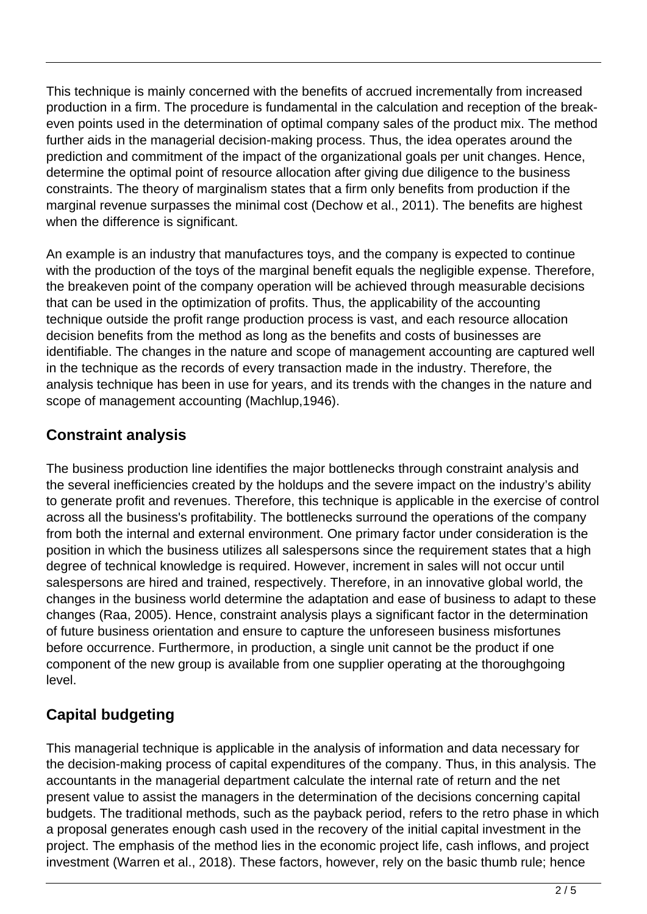This technique is mainly concerned with the benefits of accrued incrementally from increased production in a firm. The procedure is fundamental in the calculation and reception of the breakeven points used in the determination of optimal company sales of the product mix. The method further aids in the managerial decision-making process. Thus, the idea operates around the prediction and commitment of the impact of the organizational goals per unit changes. Hence, determine the optimal point of resource allocation after giving due diligence to the business constraints. The theory of marginalism states that a firm only benefits from production if the marginal revenue surpasses the minimal cost (Dechow et al., 2011). The benefits are highest when the difference is significant.

An example is an industry that manufactures toys, and the company is expected to continue with the production of the toys of the marginal benefit equals the negligible expense. Therefore, the breakeven point of the company operation will be achieved through measurable decisions that can be used in the optimization of profits. Thus, the applicability of the accounting technique outside the profit range production process is vast, and each resource allocation decision benefits from the method as long as the benefits and costs of businesses are identifiable. The changes in the nature and scope of management accounting are captured well in the technique as the records of every transaction made in the industry. Therefore, the analysis technique has been in use for years, and its trends with the changes in the nature and scope of management accounting (Machlup,1946).

#### **Constraint analysis**

The business production line identifies the major bottlenecks through constraint analysis and the several inefficiencies created by the holdups and the severe impact on the industry's ability to generate profit and revenues. Therefore, this technique is applicable in the exercise of control across all the business's profitability. The bottlenecks surround the operations of the company from both the internal and external environment. One primary factor under consideration is the position in which the business utilizes all salespersons since the requirement states that a high degree of technical knowledge is required. However, increment in sales will not occur until salespersons are hired and trained, respectively. Therefore, in an innovative global world, the changes in the business world determine the adaptation and ease of business to adapt to these changes (Raa, 2005). Hence, constraint analysis plays a significant factor in the determination of future business orientation and ensure to capture the unforeseen business misfortunes before occurrence. Furthermore, in production, a single unit cannot be the product if one component of the new group is available from one supplier operating at the thoroughgoing level.

### **Capital budgeting**

This managerial technique is applicable in the analysis of information and data necessary for the decision-making process of capital expenditures of the company. Thus, in this analysis. The accountants in the managerial department calculate the internal rate of return and the net present value to assist the managers in the determination of the decisions concerning capital budgets. The traditional methods, such as the payback period, refers to the retro phase in which a proposal generates enough cash used in the recovery of the initial capital investment in the project. The emphasis of the method lies in the economic project life, cash inflows, and project investment (Warren et al., 2018). These factors, however, rely on the basic thumb rule; hence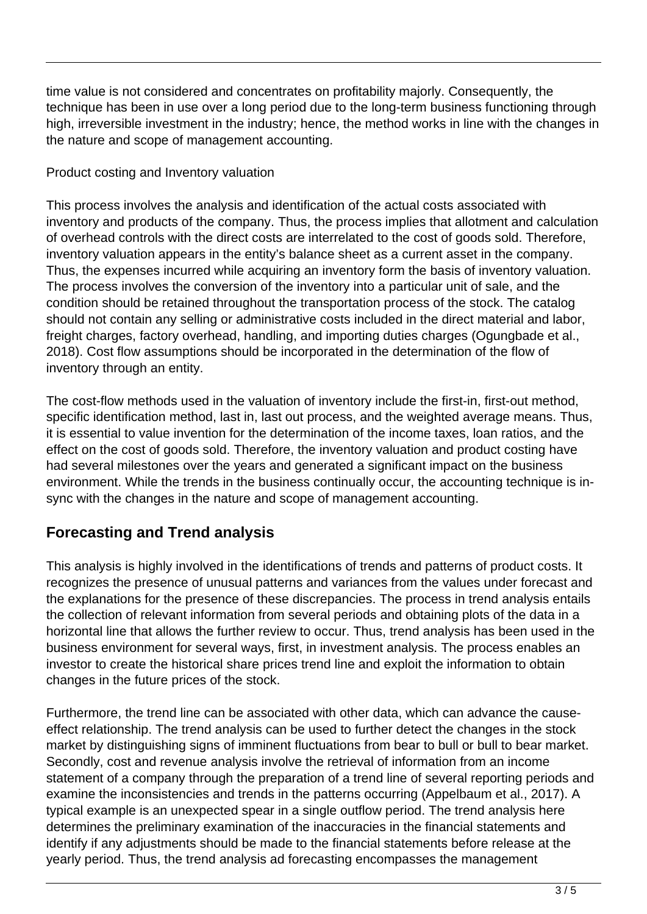time value is not considered and concentrates on profitability majorly. Consequently, the technique has been in use over a long period due to the long-term business functioning through high, irreversible investment in the industry; hence, the method works in line with the changes in the nature and scope of management accounting.

#### Product costing and Inventory valuation

This process involves the analysis and identification of the actual costs associated with inventory and products of the company. Thus, the process implies that allotment and calculation of overhead controls with the direct costs are interrelated to the cost of goods sold. Therefore, inventory valuation appears in the entity's balance sheet as a current asset in the company. Thus, the expenses incurred while acquiring an inventory form the basis of inventory valuation. The process involves the conversion of the inventory into a particular unit of sale, and the condition should be retained throughout the transportation process of the stock. The catalog should not contain any selling or administrative costs included in the direct material and labor, freight charges, factory overhead, handling, and importing duties charges (Ogungbade et al., 2018). Cost flow assumptions should be incorporated in the determination of the flow of inventory through an entity.

The cost-flow methods used in the valuation of inventory include the first-in, first-out method, specific identification method, last in, last out process, and the weighted average means. Thus, it is essential to value invention for the determination of the income taxes, loan ratios, and the effect on the cost of goods sold. Therefore, the inventory valuation and product costing have had several milestones over the years and generated a significant impact on the business environment. While the trends in the business continually occur, the accounting technique is insync with the changes in the nature and scope of management accounting.

### **Forecasting and Trend analysis**

This analysis is highly involved in the identifications of trends and patterns of product costs. It recognizes the presence of unusual patterns and variances from the values under forecast and the explanations for the presence of these discrepancies. The process in trend analysis entails the collection of relevant information from several periods and obtaining plots of the data in a horizontal line that allows the further review to occur. Thus, trend analysis has been used in the business environment for several ways, first, in investment analysis. The process enables an investor to create the historical share prices trend line and exploit the information to obtain changes in the future prices of the stock.

Furthermore, the trend line can be associated with other data, which can advance the causeeffect relationship. The trend analysis can be used to further detect the changes in the stock market by distinguishing signs of imminent fluctuations from bear to bull or bull to bear market. Secondly, cost and revenue analysis involve the retrieval of information from an income statement of a company through the preparation of a trend line of several reporting periods and examine the inconsistencies and trends in the patterns occurring (Appelbaum et al., 2017). A typical example is an unexpected spear in a single outflow period. The trend analysis here determines the preliminary examination of the inaccuracies in the financial statements and identify if any adjustments should be made to the financial statements before release at the yearly period. Thus, the trend analysis ad forecasting encompasses the management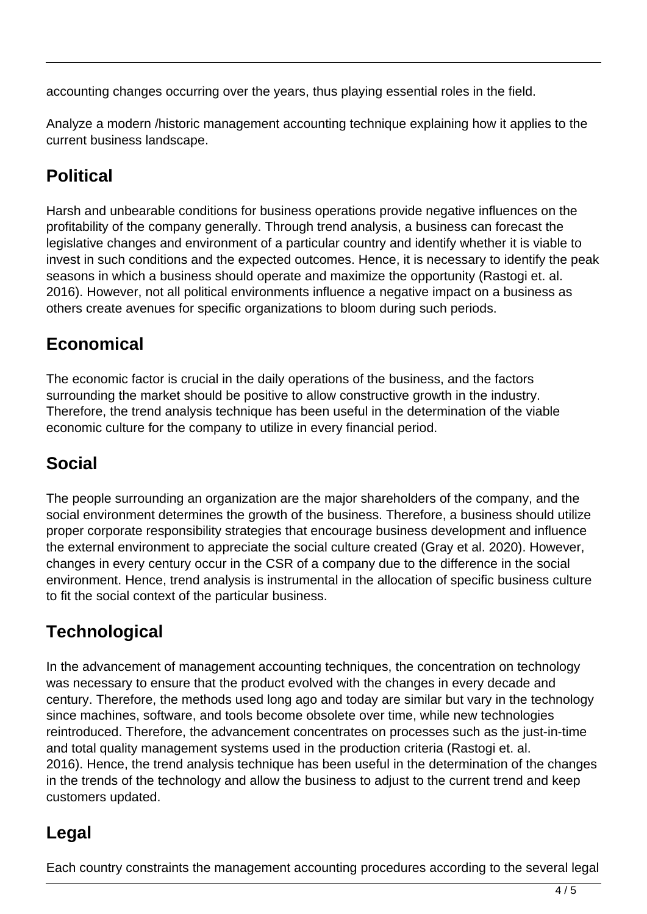accounting changes occurring over the years, thus playing essential roles in the field.

Analyze a modern /historic management accounting technique explaining how it applies to the current business landscape.

# **Political**

Harsh and unbearable conditions for business operations provide negative influences on the profitability of the company generally. Through trend analysis, a business can forecast the legislative changes and environment of a particular country and identify whether it is viable to invest in such conditions and the expected outcomes. Hence, it is necessary to identify the peak seasons in which a business should operate and maximize the opportunity (Rastogi et. al. 2016). However, not all political environments influence a negative impact on a business as others create avenues for specific organizations to bloom during such periods.

# **Economical**

The economic factor is crucial in the daily operations of the business, and the factors surrounding the market should be positive to allow constructive growth in the industry. Therefore, the trend analysis technique has been useful in the determination of the viable economic culture for the company to utilize in every financial period.

# **Social**

The people surrounding an organization are the major shareholders of the company, and the social environment determines the growth of the business. Therefore, a business should utilize proper corporate responsibility strategies that encourage business development and influence the external environment to appreciate the social culture created (Gray et al. 2020). However, changes in every century occur in the CSR of a company due to the difference in the social environment. Hence, trend analysis is instrumental in the allocation of specific business culture to fit the social context of the particular business.

# **Technological**

In the advancement of management accounting techniques, the concentration on technology was necessary to ensure that the product evolved with the changes in every decade and century. Therefore, the methods used long ago and today are similar but vary in the technology since machines, software, and tools become obsolete over time, while new technologies reintroduced. Therefore, the advancement concentrates on processes such as the just-in-time and total quality management systems used in the production criteria (Rastogi et. al. 2016). Hence, the trend analysis technique has been useful in the determination of the changes in the trends of the technology and allow the business to adjust to the current trend and keep customers updated.

# **Legal**

Each country constraints the management accounting procedures according to the several legal